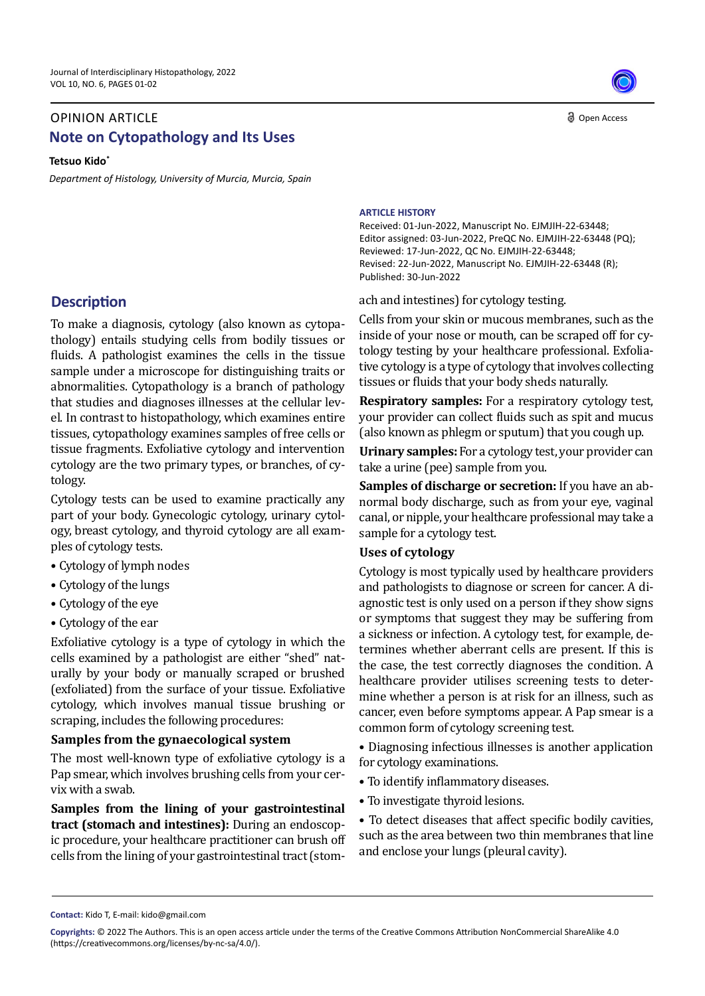# OPINION ARTICLE **Note on Cytopathology and Its Uses**

**Tetsuo Kido\***

*Department of Histology, University of Murcia, Murcia, Spain* 

## **Description**

To make a diagnosis, cytology (also known as cytopathology) entails studying cells from bodily tissues or fluids. A pathologist examines the cells in the tissue sample under a microscope for distinguishing traits or abnormalities. Cytopathology is a branch of pathology that studies and diagnoses illnesses at the cellular level. In contrast to histopathology, which examines entire tissues, cytopathology examines samples of free cells or tissue fragments. Exfoliative cytology and intervention cytology are the two primary types, or branches, of cytology.

Cytology tests can be used to examine practically any part of your body. Gynecologic cytology, urinary cytology, breast cytology, and thyroid cytology are all examples of cytology tests.

- Cytology of lymph nodes
- Cytology of the lungs
- Cytology of the eye
- Cytology of the ear

Exfoliative cytology is a type of cytology in which the cells examined by a pathologist are either "shed" naturally by your body or manually scraped or brushed (exfoliated) from the surface of your tissue. Exfoliative cytology, which involves manual tissue brushing or scraping, includes the following procedures:

## **Samples from the gynaecological system**

The most well-known type of exfoliative cytology is a Pap smear, which involves brushing cells from your cervix with a swab.

**Samples from the lining of your gastrointestinal tract (stomach and intestines):** During an endoscopic procedure, your healthcare practitioner can brush off cells from the lining of your gastrointestinal tract (stom-

#### **ARTICLE HISTORY**

Received: 01-Jun-2022, Manuscript No. EJMJIH-22-63448; Editor assigned: 03-Jun-2022, PreQC No. EJMJIH-22-63448 (PQ); Reviewed: 17-Jun-2022, QC No. EJMJIH-22-63448; Revised: 22-Jun-2022, Manuscript No. EJMJIH-22-63448 (R); Published: 30-Jun-2022

ach and intestines) for cytology testing.

Cells from your skin or mucous membranes, such as the inside of your nose or mouth, can be scraped off for cytology testing by your healthcare professional. Exfoliative cytology is a type of cytology that involves collecting tissues or fluids that your body sheds naturally.

**Respiratory samples:** For a respiratory cytology test, your provider can collect fluids such as spit and mucus (also known as phlegm or sputum) that you cough up.

**Urinary samples:** For a cytology test, your provider can take a urine (pee) sample from you.

**Samples of discharge or secretion:** If you have an abnormal body discharge, such as from your eye, vaginal canal, or nipple, your healthcare professional may take a sample for a cytology test.

### **Uses of cytology**

Cytology is most typically used by healthcare providers and pathologists to diagnose or screen for cancer. A diagnostic test is only used on a person if they show signs or symptoms that suggest they may be suffering from a sickness or infection. A cytology test, for example, determines whether aberrant cells are present. If this is the case, the test correctly diagnoses the condition. A healthcare provider utilises screening tests to determine whether a person is at risk for an illness, such as cancer, even before symptoms appear. A Pap smear is a common form of cytology screening test.

• Diagnosing infectious illnesses is another application for cytology examinations.

- To identify inflammatory diseases.
- To investigate thyroid lesions.

• To detect diseases that affect specific bodily cavities, such as the area between two thin membranes that line and enclose your lungs (pleural cavity).

**Contact:** Kido T, E-mail: kido@gmail.com

**Copyrights:** © 2022 The Authors. This is an open access article under the terms of the Creative Commons Attribution NonCommercial ShareAlike 4.0 (https://creativecommons.org/licenses/by-nc-sa/4.0/).